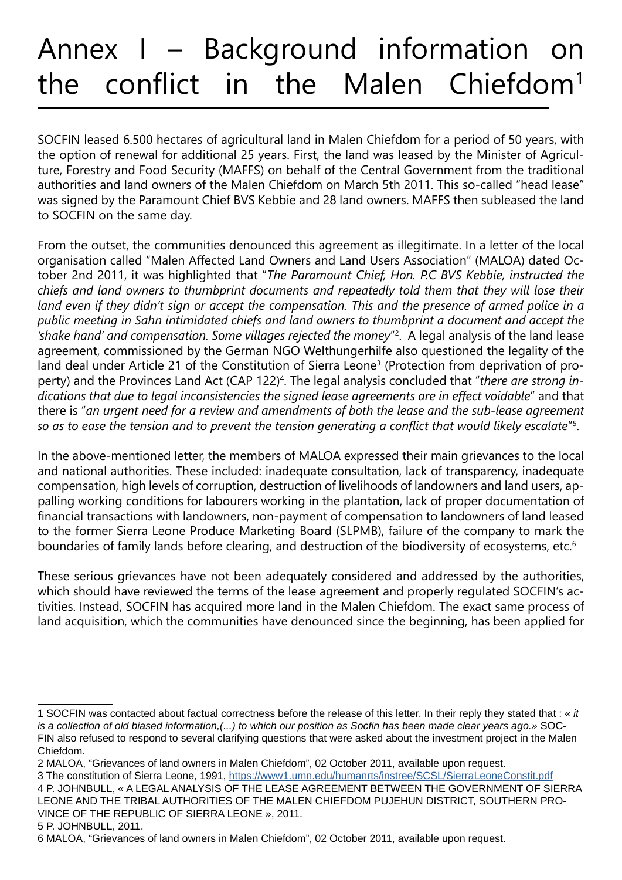## Annex I – Background information on the conflict in the Malen Chiefdom<sup>1</sup>

SOCFIN leased 6.500 hectares of agricultural land in Malen Chiefdom for a period of 50 years, with the option of renewal for additional 25 years. First, the land was leased by the Minister of Agriculture, Forestry and Food Security (MAFFS) on behalf of the Central Government from the traditional authorities and land owners of the Malen Chiefdom on March 5th 2011. This so-called "head lease" was signed by the Paramount Chief BVS Kebbie and 28 land owners. MAFFS then subleased the land to SOCFIN on the same day.

From the outset, the communities denounced this agreement as illegitimate. In a letter of the local organisation called "Malen Affected Land Owners and Land Users Association" (MALOA) dated October 2nd 2011, it was highlighted that "*The Paramount Chief, Hon. P.C BVS Kebbie, instructed the chiefs and land owners to thumbprint documents and repeatedly told them that they will lose their*  land even if they didn't sign or accept the compensation. This and the presence of armed police in a *public meeting in Sahn intimidated chiefs and land owners to thumbprint a document and accept the 'shake hand' and compensation. Some villages rejected the money*"2 . A legal analysis of the land lease agreement, commissioned by the German NGO Welthungerhilfe also questioned the legality of the land deal under Article 21 of the Constitution of Sierra Leone<sup>3</sup> (Protection from deprivation of property) and the Provinces Land Act (CAP 122)<sup>4</sup>. The legal analysis concluded that "there are strong in*dications that due to legal inconsistencies the signed lease agreements are in effect voidable*" and that there is "*an urgent need for a review and amendments of both the lease and the sub-lease agreement so as to ease the tension and to prevent the tension generating a conflict that would likely escalate*"5 .

In the above-mentioned letter, the members of MALOA expressed their main grievances to the local and national authorities. These included: inadequate consultation, lack of transparency, inadequate compensation, high levels of corruption, destruction of livelihoods of landowners and land users, appalling working conditions for labourers working in the plantation, lack of proper documentation of financial transactions with landowners, non-payment of compensation to landowners of land leased to the former Sierra Leone Produce Marketing Board (SLPMB), failure of the company to mark the boundaries of family lands before clearing, and destruction of the biodiversity of ecosystems, etc.<sup>6</sup>

These serious grievances have not been adequately considered and addressed by the authorities, which should have reviewed the terms of the lease agreement and properly regulated SOCFIN's activities. Instead, SOCFIN has acquired more land in the Malen Chiefdom. The exact same process of land acquisition, which the communities have denounced since the beginning, has been applied for

5 P. JOHNBULL, 2011.

<sup>1</sup> SOCFIN was contacted about factual correctness before the release of this letter. In their reply they stated that : « *it is a collection of old biased information,(...) to which our position as Socfin has been made clear years ago.»* SOC-FIN also refused to respond to several clarifying questions that were asked about the investment project in the Malen Chiefdom.

<sup>2</sup> MALOA, "Grievances of land owners in Malen Chiefdom", 02 October 2011, available upon request.

<sup>3</sup> The constitution of Sierra Leone, 1991,<https://www1.umn.edu/humanrts/instree/SCSL/SierraLeoneConstit.pdf> 4 P. JOHNBULL, « A LEGAL ANALYSIS OF THE LEASE AGREEMENT BETWEEN THE GOVERNMENT OF SIERRA LEONE AND THE TRIBAL AUTHORITIES OF THE MALEN CHIEFDOM PUJEHUN DISTRICT, SOUTHERN PRO-VINCE OF THE REPUBLIC OF SIERRA LEONE », 2011.

<sup>6</sup> MALOA, "Grievances of land owners in Malen Chiefdom", 02 October 2011, available upon request.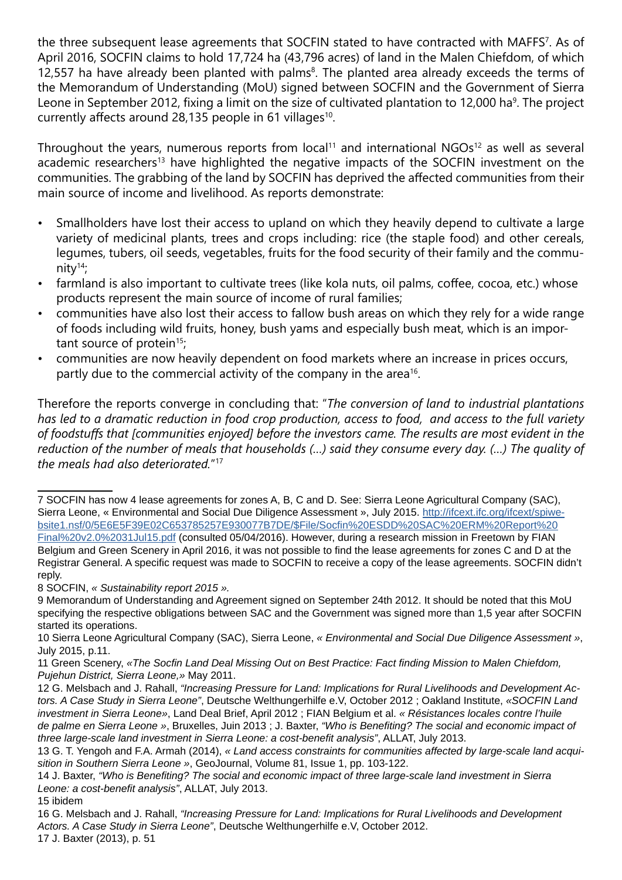the three subsequent lease agreements that SOCFIN stated to have contracted with MAFFS<sup>7</sup>. As of April 2016, SOCFIN claims to hold 17,724 ha (43,796 acres) of land in the Malen Chiefdom, of which 12,557 ha have already been planted with palms<sup>8</sup>. The planted area already exceeds the terms of the Memorandum of Understanding (MoU) signed between SOCFIN and the Government of Sierra Leone in September 2012, fixing a limit on the size of cultivated plantation to 12,000 ha<sup>9</sup>. The project currently affects around 28,135 people in 61 villages $10$ .

Throughout the years, numerous reports from local<sup>11</sup> and international NGOs<sup>12</sup> as well as several academic researchers<sup>13</sup> have highlighted the negative impacts of the SOCFIN investment on the communities. The grabbing of the land by SOCFIN has deprived the affected communities from their main source of income and livelihood. As reports demonstrate:

- Smallholders have lost their access to upland on which they heavily depend to cultivate a large variety of medicinal plants, trees and crops including: rice (the staple food) and other cereals, legumes, tubers, oil seeds, vegetables, fruits for the food security of their family and the community $14$ ;
- farmland is also important to cultivate trees (like kola nuts, oil palms, coffee, cocoa, etc.) whose products represent the main source of income of rural families;
- communities have also lost their access to fallow bush areas on which they rely for a wide range of foods including wild fruits, honey, bush yams and especially bush meat, which is an important source of protein<sup>15</sup>;
- communities are now heavily dependent on food markets where an increase in prices occurs, partly due to the commercial activity of the company in the area<sup>16</sup>.

Therefore the reports converge in concluding that: "*The conversion of land to industrial plantations has led to a dramatic reduction in food crop production, access to food, and access to the full variety of foodstuffs that [communities enjoyed] before the investors came. The results are most evident in the reduction of the number of meals that households (…) said they consume every day. (…) The quality of the meals had also deteriorated.*"<sup>17</sup>

8 SOCFIN, *« Sustainability report 2015 ».*

<sup>7</sup> SOCFIN has now 4 lease agreements for zones A, B, C and D. See: Sierra Leone Agricultural Company (SAC), Sierra Leone, « Environmental and Social Due Diligence Assessment », July 2015. [http://ifcext.ifc.org/ifcext/spiwe](http://ifcext.ifc.org/ifcext/spiwebsite1.nsf/0/5E6E5F39E02C653785257E930077B7DE/$File/Socfin%20ESDD%)[bsite1.nsf/0/5E6E5F39E02C653785257E930077B7DE/\\$File/Socfin%20ESDD%20SAC%20ERM%20Report%20](http://ifcext.ifc.org/ifcext/spiwebsite1.nsf/0/5E6E5F39E02C653785257E930077B7DE/$File/Socfin%20ESDD%) [Final%20v2.0%2031Jul15.pdf](http://ifcext.ifc.org/ifcext/spiwebsite1.nsf/0/5E6E5F39E02C653785257E930077B7DE/$File/Socfin%20ESDD%) (consulted 05/04/2016). However, during a research mission in Freetown by FIAN Belgium and Green Scenery in April 2016, it was not possible to find the lease agreements for zones C and D at the Registrar General. A specific request was made to SOCFIN to receive a copy of the lease agreements. SOCFIN didn't reply.

<sup>9</sup> Memorandum of Understanding and Agreement signed on September 24th 2012. It should be noted that this MoU specifying the respective obligations between SAC and the Government was signed more than 1,5 year after SOCFIN started its operations.

<sup>10</sup> Sierra Leone Agricultural Company (SAC), Sierra Leone, *« Environmental and Social Due Diligence Assessment »*, July 2015, p.11.

<sup>11</sup> Green Scenery, *«The Socfin Land Deal Missing Out on Best Practice: Fact finding Mission to Malen Chiefdom, Pujehun District, Sierra Leone,»* May 2011.

<sup>12</sup> G. Melsbach and J. Rahall, *"Increasing Pressure for Land: Implications for Rural Livelihoods and Development Actors. A Case Study in Sierra Leone"*, Deutsche Welthungerhilfe e.V, October 2012 ; Oakland Institute, *«SOCFIN Land investment in Sierra Leone»*, Land Deal Brief, April 2012 ; FIAN Belgium et al. *« Résistances locales contre l'huile de palme en Sierra Leone »*, Bruxelles, Juin 2013 ; J. Baxter, *"Who is Benefiting? The social and economic impact of three large-scale land investment in Sierra Leone: a cost-benefit analysis"*, ALLAT, July 2013.

<sup>13</sup> G. T. Yengoh and F.A. Armah (2014), *« Land access constraints for communities affected by large-scale land acquisition in Southern Sierra Leone »*, GeoJournal, Volume 81, Issue 1, pp. 103-122.

<sup>14</sup> J. Baxter, *"Who is Benefiting? The social and economic impact of three large-scale land investment in Sierra Leone: a cost-benefit analysis"*, ALLAT, July 2013.

<sup>15</sup> ibidem

<sup>16</sup> G. Melsbach and J. Rahall, *"Increasing Pressure for Land: Implications for Rural Livelihoods and Development Actors. A Case Study in Sierra Leone"*, Deutsche Welthungerhilfe e.V, October 2012. 17 J. Baxter (2013), p. 51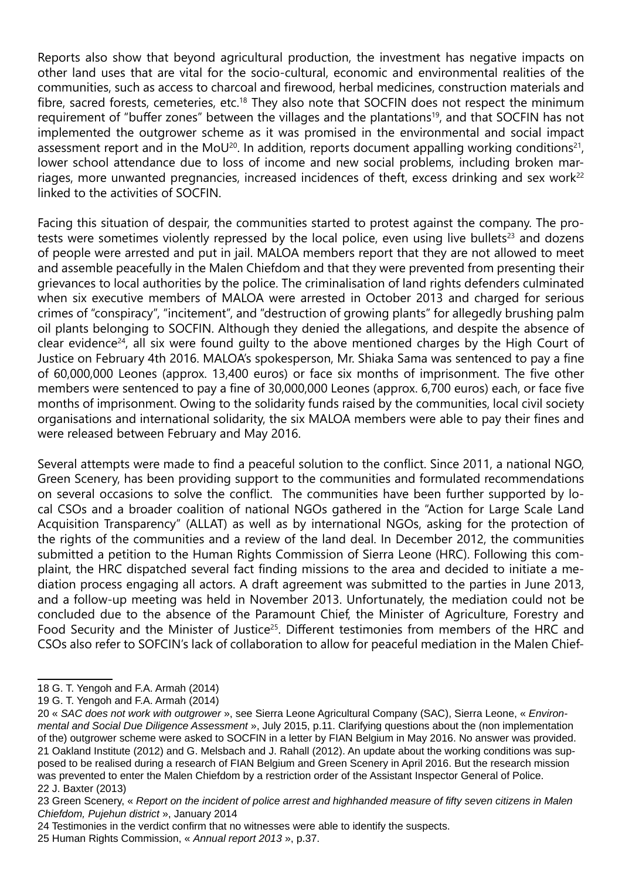Reports also show that beyond agricultural production, the investment has negative impacts on other land uses that are vital for the socio-cultural, economic and environmental realities of the communities, such as access to charcoal and firewood, herbal medicines, construction materials and fibre, sacred forests, cemeteries, etc.<sup>18</sup> They also note that SOCFIN does not respect the minimum requirement of "buffer zones" between the villages and the plantations<sup>19</sup>, and that SOCFIN has not implemented the outgrower scheme as it was promised in the environmental and social impact assessment report and in the MoU<sup>20</sup>. In addition, reports document appalling working conditions<sup>21</sup>, lower school attendance due to loss of income and new social problems, including broken marriages, more unwanted pregnancies, increased incidences of theft, excess drinking and sex work<sup>22</sup> linked to the activities of SOCFIN.

Facing this situation of despair, the communities started to protest against the company. The protests were sometimes violently repressed by the local police, even using live bullets<sup>23</sup> and dozens of people were arrested and put in jail. MALOA members report that they are not allowed to meet and assemble peacefully in the Malen Chiefdom and that they were prevented from presenting their grievances to local authorities by the police. The criminalisation of land rights defenders culminated when six executive members of MALOA were arrested in October 2013 and charged for serious crimes of "conspiracy", "incitement", and "destruction of growing plants" for allegedly brushing palm oil plants belonging to SOCFIN. Although they denied the allegations, and despite the absence of clear evidence<sup>24</sup>, all six were found quilty to the above mentioned charges by the High Court of Justice on February 4th 2016. MALOA's spokesperson, Mr. Shiaka Sama was sentenced to pay a fine of 60,000,000 Leones (approx. 13,400 euros) or face six months of imprisonment. The five other members were sentenced to pay a fine of 30,000,000 Leones (approx. 6,700 euros) each, or face five months of imprisonment. Owing to the solidarity funds raised by the communities, local civil society organisations and international solidarity, the six MALOA members were able to pay their fines and were released between February and May 2016.

Several attempts were made to find a peaceful solution to the conflict. Since 2011, a national NGO, Green Scenery, has been providing support to the communities and formulated recommendations on several occasions to solve the conflict. The communities have been further supported by local CSOs and a broader coalition of national NGOs gathered in the "Action for Large Scale Land Acquisition Transparency" (ALLAT) as well as by international NGOs, asking for the protection of the rights of the communities and a review of the land deal. In December 2012, the communities submitted a petition to the Human Rights Commission of Sierra Leone (HRC). Following this complaint, the HRC dispatched several fact finding missions to the area and decided to initiate a mediation process engaging all actors. A draft agreement was submitted to the parties in June 2013, and a follow-up meeting was held in November 2013. Unfortunately, the mediation could not be concluded due to the absence of the Paramount Chief, the Minister of Agriculture, Forestry and Food Security and the Minister of Justice<sup>25</sup>. Different testimonies from members of the HRC and CSOs also refer to SOFCIN's lack of collaboration to allow for peaceful mediation in the Malen Chief-

<sup>18</sup> G. T. Yengoh and F.A. Armah (2014)

<sup>19</sup> G. T. Yengoh and F.A. Armah (2014)

<sup>20 «</sup> *SAC does not work with outgrower* », see Sierra Leone Agricultural Company (SAC), Sierra Leone, « *Environmental and Social Due Diligence Assessment* », July 2015, p.11. Clarifying questions about the (non implementation of the) outgrower scheme were asked to SOCFIN in a letter by FIAN Belgium in May 2016. No answer was provided. 21 Oakland Institute (2012) and G. Melsbach and J. Rahall (2012). An update about the working conditions was supposed to be realised during a research of FIAN Belgium and Green Scenery in April 2016. But the research mission was prevented to enter the Malen Chiefdom by a restriction order of the Assistant Inspector General of Police. 22 J. Baxter (2013)

<sup>23</sup> Green Scenery, « *Report on the incident of police arrest and highhanded measure of fifty seven citizens in Malen Chiefdom, Pujehun district* », January 2014

<sup>24</sup> Testimonies in the verdict confirm that no witnesses were able to identify the suspects.

<sup>25</sup> Human Rights Commission, « *Annual report 2013* », p.37.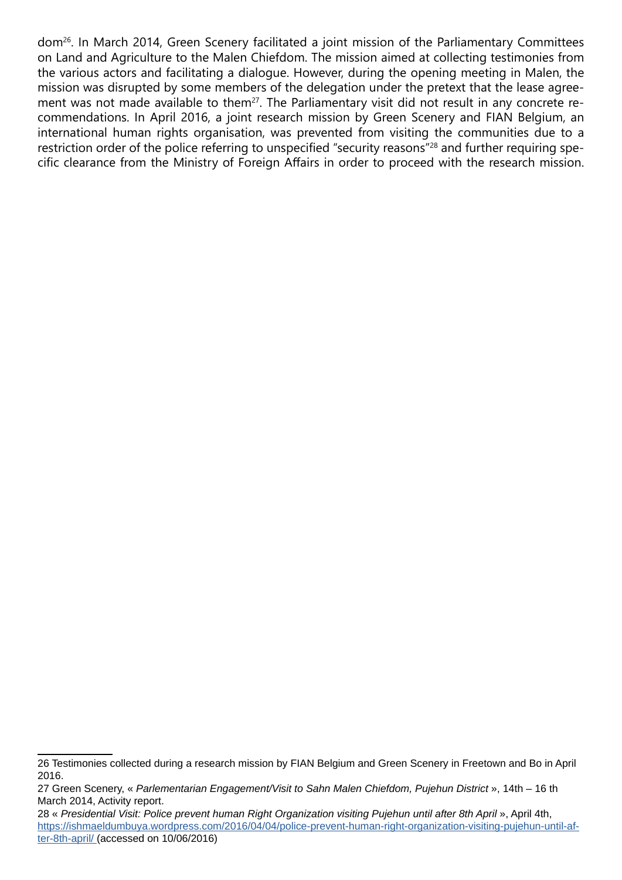dom26. In March 2014, Green Scenery facilitated a joint mission of the Parliamentary Committees on Land and Agriculture to the Malen Chiefdom. The mission aimed at collecting testimonies from the various actors and facilitating a dialogue. However, during the opening meeting in Malen, the mission was disrupted by some members of the delegation under the pretext that the lease agreement was not made available to them<sup>27</sup>. The Parliamentary visit did not result in any concrete recommendations. In April 2016, a joint research mission by Green Scenery and FIAN Belgium, an international human rights organisation, was prevented from visiting the communities due to a restriction order of the police referring to unspecified "security reasons"28 and further requiring specific clearance from the Ministry of Foreign Affairs in order to proceed with the research mission.

<sup>26</sup> Testimonies collected during a research mission by FIAN Belgium and Green Scenery in Freetown and Bo in April 2016.

<sup>27</sup> Green Scenery, « *Parlementarian Engagement/Visit to Sahn Malen Chiefdom, Pujehun District* », 14th – 16 th March 2014, Activity report.

<sup>28 «</sup> *Presidential Visit: Police prevent human Right Organization visiting Pujehun until after 8th April* », April 4th, [https://ishmaeldumbuya.wordpress.com/2016/04/04/police-prevent-human-right-organization-visiting-pujehun-until-af](https://ishmaeldumbuya.wordpress.com/2016/04/04/police-prevent-human-right-organization-visiting-puj)[ter-8th-april/](https://ishmaeldumbuya.wordpress.com/2016/04/04/police-prevent-human-right-organization-visiting-puj) (accessed on 10/06/2016)